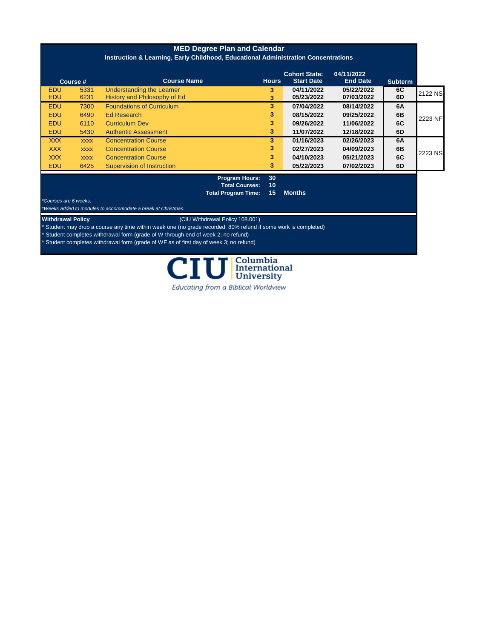| <b>MED Degree Plan and Calendar</b><br>Instruction & Learning, Early Childhood, Educational Administration Concentrations |             |                                   |              |                                           |                               |                |         |
|---------------------------------------------------------------------------------------------------------------------------|-------------|-----------------------------------|--------------|-------------------------------------------|-------------------------------|----------------|---------|
|                                                                                                                           | Course #    | <b>Course Name</b>                | <b>Hours</b> | <b>Cohort State:</b><br><b>Start Date</b> | 04/11/2022<br><b>End Date</b> | <b>Subterm</b> |         |
| <b>EDU</b>                                                                                                                | 5331        | Understanding the Learner         | 3            | 04/11/2022                                | 05/22/2022                    | 6C             | 2122 NS |
| <b>EDU</b>                                                                                                                | 6231        | History and Philosophy of Ed      | 3            | 05/23/2022                                | 07/03/2022                    | 6D             |         |
| <b>EDU</b>                                                                                                                | 7300        | <b>Foundations of Curriculum</b>  | 3            | 07/04/2022                                | 08/14/2022                    | 6A             |         |
| <b>EDU</b>                                                                                                                | 6490        | Ed Research                       | 3            | 08/15/2022                                | 09/25/2022                    | 6 <sub>B</sub> | 2223 NF |
| <b>EDU</b>                                                                                                                | 6110        | <b>Curriculum Dev</b>             | 3.           | 09/26/2022                                | 11/06/2022                    | 6C             |         |
| <b>EDU</b>                                                                                                                | 5430        | <b>Authentic Assessment</b>       | 3            | 11/07/2022                                | 12/18/2022                    | 6D             |         |
| <b>XXX</b>                                                                                                                | <b>XXXX</b> | <b>Concentration Course</b>       | 3.           | 01/16/2023                                | 02/26/2023                    | 6A             |         |
| <b>XXX</b>                                                                                                                | <b>XXXX</b> | <b>Concentration Course</b>       | 3.           | 02/27/2023                                | 04/09/2023                    | 6 <sub>B</sub> | 2223 NS |
| <b>XXX</b>                                                                                                                | <b>XXXX</b> | <b>Concentration Course</b>       | 3.           | 04/10/2023                                | 05/21/2023                    | 6C             |         |
| <b>EDU</b>                                                                                                                | 6425        | <b>Supervision of Instruction</b> | 3.           | 05/22/2023                                | 07/02/2023                    | 6D             |         |
|                                                                                                                           |             |                                   | --           |                                           |                               |                |         |

## **Program Hours: 30 Total Courses: 10 Total Program Time: 15 Months**

*\*Courses are 6 weeks. \*Weeks added to modules to accommodate a break at Christmas.*

## **Withdrawal Policy** (CIU Withdrawal Policy 108.001)

\* Student may drop a course any time within week one (no grade recorded; 80% refund if some work is completed)

Student completes withdrawal form (grade of W through end of week 2; no refund)

Student completes withdrawal form (grade of WF as of first day of week 3; no refund)



Educating from a Biblical Worldview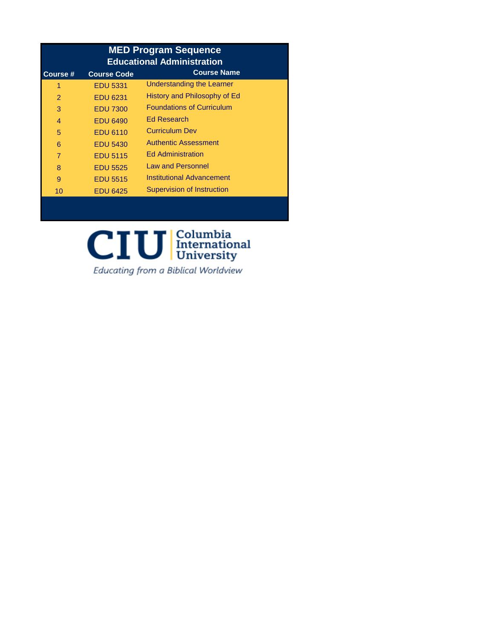| <b>MED Program Sequence</b><br><b>Educational Administration</b> |                    |                                   |  |  |  |
|------------------------------------------------------------------|--------------------|-----------------------------------|--|--|--|
| <b>Course</b> #                                                  | <b>Course Code</b> | <b>Course Name</b>                |  |  |  |
| 1                                                                | <b>EDU 5331</b>    | Understanding the Learner         |  |  |  |
| $\mathcal{P}$                                                    | <b>EDU 6231</b>    | History and Philosophy of Ed      |  |  |  |
| 3                                                                | <b>EDU 7300</b>    | <b>Foundations of Curriculum</b>  |  |  |  |
| $\overline{4}$                                                   | <b>EDU 6490</b>    | <b>Ed Research</b>                |  |  |  |
| 5                                                                | <b>EDU 6110</b>    | <b>Curriculum Dev</b>             |  |  |  |
| 6                                                                | <b>EDU 5430</b>    | <b>Authentic Assessment</b>       |  |  |  |
| 7                                                                | <b>EDU 5115</b>    | <b>Ed Administration</b>          |  |  |  |
| 8                                                                | <b>EDU 5525</b>    | <b>Law and Personnel</b>          |  |  |  |
| 9                                                                | <b>EDU 5515</b>    | Institutional Advancement         |  |  |  |
| 10                                                               | <b>EDU 6425</b>    | <b>Supervision of Instruction</b> |  |  |  |

# $CIU$   $\frac{\text{Columbia}}{\text{University}}$

Educating from a Biblical Worldview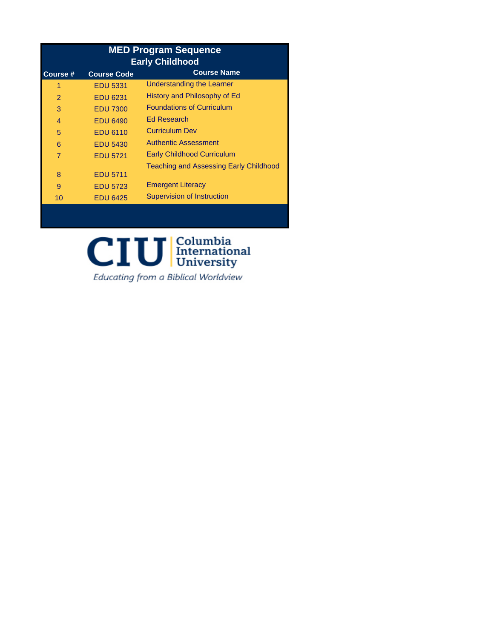| <b>MED Program Sequence</b><br><b>Early Childhood</b> |                    |                                               |  |  |  |
|-------------------------------------------------------|--------------------|-----------------------------------------------|--|--|--|
| Course #                                              | <b>Course Code</b> | <b>Course Name</b>                            |  |  |  |
| 1                                                     | <b>EDU 5331</b>    | Understanding the Learner                     |  |  |  |
| $\mathcal{P}$                                         | <b>EDU 6231</b>    | History and Philosophy of Ed                  |  |  |  |
| 3                                                     | <b>EDU 7300</b>    | <b>Foundations of Curriculum</b>              |  |  |  |
| $\overline{4}$                                        | <b>EDU 6490</b>    | <b>Ed Research</b>                            |  |  |  |
| 5                                                     | <b>EDU 6110</b>    | <b>Curriculum Dev</b>                         |  |  |  |
| 6                                                     | <b>EDU 5430</b>    | <b>Authentic Assessment</b>                   |  |  |  |
| $\overline{7}$                                        | <b>EDU 5721</b>    | <b>Early Childhood Curriculum</b>             |  |  |  |
|                                                       |                    | <b>Teaching and Assessing Early Childhood</b> |  |  |  |
| 8                                                     | <b>EDU 5711</b>    |                                               |  |  |  |
| 9                                                     | <b>EDU 5723</b>    | <b>Emergent Literacy</b>                      |  |  |  |
| 10                                                    | <b>EDU 6425</b>    | <b>Supervision of Instruction</b>             |  |  |  |
|                                                       |                    |                                               |  |  |  |